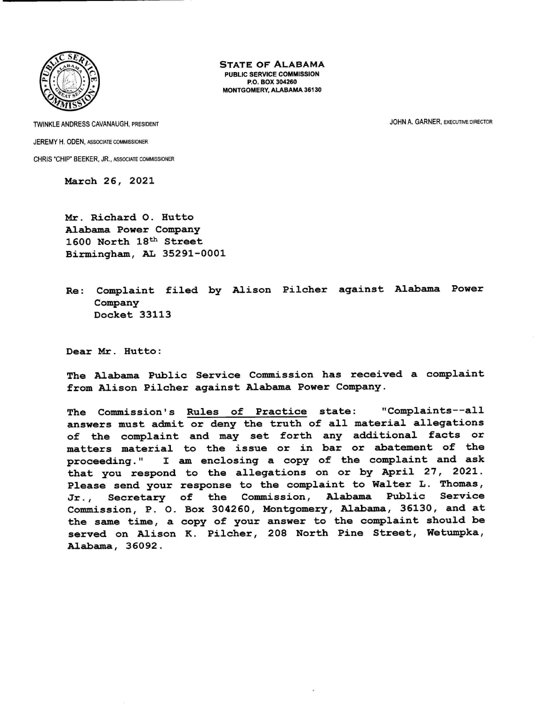

STATE OF ALABAMA PUBLIC SERVICE COMMISSION P.O. BOX 304260 MONTGOMERY, ALABAMA 36130

TWINKLE ANDRESS CAVANAUGH. PRESIDENT JOHN A. GARNER, EXECUTIVE DIRECTOR JEREMY H. ODEN, ASSOCIATE COMMISSIONER CHRIS "CHIP" BEEKER, JR., ASSOCIATE COMMISSIONER

March 26, 20

Mr. Richard O. Hutto Alabama Power Company 1600 North 18<sup>th</sup> Street Birmingham, AL 35291-0001

Re: Complaint filed by Alison Pilcher against Alabama Power Company Docket 33113

Dear Mr. Hutto:

The Alabama Public Service Commission has received a complaint from Alison Pilcher against Alabama Power Company.

The Commission's Rules of Practice state: "Complaints--all answers must admit or deny the truth of all material allegations of the complaint and may set forth any additional facts or matters material to the issue or in bar or abatement of the proceeding." <sup>I</sup>am enclosing <sup>a</sup>copy of the complaint and ask that you respond to the allegations on or by April 27, 2021. Please send your response to the complaint to Walter L. Thomas, Jr., Secretary of the Commission, Alabama Public Service Commission, P. O. Box 304260, Montgomery, Alabama, 36130, and at the same time, <sup>a</sup>copy of your answer to the complaint should be served on Alison K. Pilcher, 208 North Pine Street, Wetumpka, Alabama, 36092.